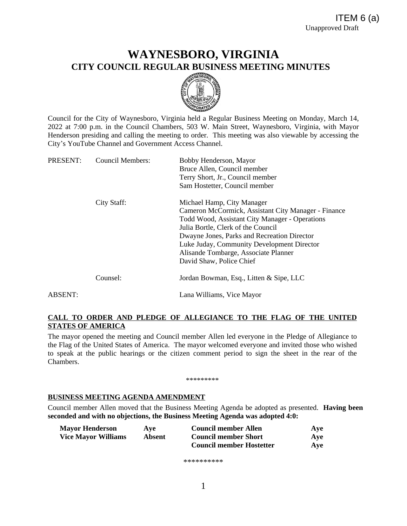# **WAYNESBORO, VIRGINIA CITY COUNCIL REGULAR BUSINESS MEETING MINUTES**



Council for the City of Waynesboro, Virginia held a Regular Business Meeting on Monday, March 14, 2022 at 7:00 p.m. in the Council Chambers, 503 W. Main Street, Waynesboro, Virginia, with Mayor Henderson presiding and calling the meeting to order. This meeting was also viewable by accessing the City's YouTube Channel and Government Access Channel.

| PRESENT: | <b>Council Members:</b> | Bobby Henderson, Mayor                              |
|----------|-------------------------|-----------------------------------------------------|
|          |                         | Bruce Allen, Council member                         |
|          |                         | Terry Short, Jr., Council member                    |
|          |                         | Sam Hostetter, Council member                       |
|          | City Staff:             | Michael Hamp, City Manager                          |
|          |                         | Cameron McCormick, Assistant City Manager - Finance |
|          |                         | Todd Wood, Assistant City Manager - Operations      |
|          |                         | Julia Bortle, Clerk of the Council                  |
|          |                         | Dwayne Jones, Parks and Recreation Director         |
|          |                         | Luke Juday, Community Development Director          |
|          |                         | Alisande Tombarge, Associate Planner                |
|          |                         | David Shaw, Police Chief                            |
|          | Counsel:                | Jordan Bowman, Esq., Litten & Sipe, LLC             |
| ABSENT:  |                         | Lana Williams, Vice Mayor                           |

# **CALL TO ORDER AND PLEDGE OF ALLEGIANCE TO THE FLAG OF THE UNITED STATES OF AMERICA**

The mayor opened the meeting and Council member Allen led everyone in the Pledge of Allegiance to the Flag of the United States of America. The mayor welcomed everyone and invited those who wished to speak at the public hearings or the citizen comment period to sign the sheet in the rear of the Chambers.

### \*\*\*\*\*\*\*\*\*

### **BUSINESS MEETING AGENDA AMENDMENT**

Council member Allen moved that the Business Meeting Agenda be adopted as presented. **Having been seconded and with no objections, the Business Meeting Agenda was adopted 4:0:**

| <b>Mayor Henderson</b>     | Ave    | <b>Council member Allen</b>     | Ave |
|----------------------------|--------|---------------------------------|-----|
| <b>Vice Mayor Williams</b> | Absent | <b>Council member Short</b>     | Ave |
|                            |        | <b>Council member Hostetter</b> | Ave |

\*\*\*\*\*\*\*\*\*\*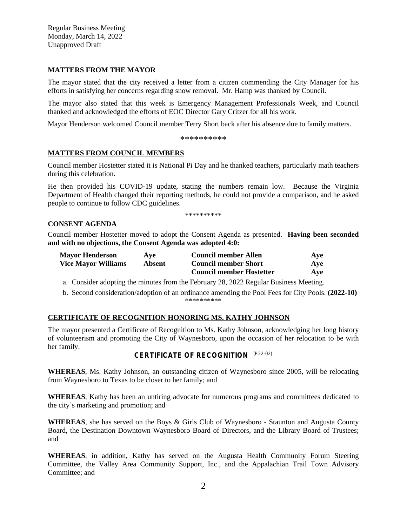Regular Business Meeting Monday, March 14, 2022 Unapproved Draft

### **MATTERS FROM THE MAYOR**

The mayor stated that the city received a letter from a citizen commending the City Manager for his efforts in satisfying her concerns regarding snow removal. Mr. Hamp was thanked by Council.

The mayor also stated that this week is Emergency Management Professionals Week, and Council thanked and acknowledged the efforts of EOC Director Gary Critzer for all his work.

Mayor Henderson welcomed Council member Terry Short back after his absence due to family matters.

\*\*\*\*\*\*\*\*\*\*

### **MATTERS FROM COUNCIL MEMBERS**

Council member Hostetter stated it is National Pi Day and he thanked teachers, particularly math teachers during this celebration.

He then provided his COVID-19 update, stating the numbers remain low. Because the Virginia Department of Health changed their reporting methods, he could not provide a comparison, and he asked people to continue to follow CDC guidelines.

\*\*\*\*\*\*\*\*\*\*

# **CONSENT AGENDA**

Council member Hostetter moved to adopt the Consent Agenda as presented. **Having been seconded and with no objections, the Consent Agenda was adopted 4:0:**

| <b>Mayor Henderson</b>     | Ave    | <b>Council member Allen</b>     | Ave |
|----------------------------|--------|---------------------------------|-----|
| <b>Vice Mayor Williams</b> | Absent | <b>Council member Short</b>     | Ave |
|                            |        | <b>Council member Hostetter</b> | Ave |

a. Consider adopting the minutes from the February 28, 2022 Regular Business Meeting.

b. Second consideration/adoption of an ordinance amending the Pool Fees for City Pools. **(2022-10)** \*\*\*\*\*\*\*\*\*\*

### **CERTIFICATE OF RECOGNITION HONORING MS. KATHY JOHNSON**

The mayor presented a Certificate of Recognition to Ms. Kathy Johnson, acknowledging her long history of volunteerism and promoting the City of Waynesboro, upon the occasion of her relocation to be with her family.

### **CERTIFICATE OF RECOGNITION** (P22-02)

**WHEREAS**, Ms. Kathy Johnson, an outstanding citizen of Waynesboro since 2005, will be relocating from Waynesboro to Texas to be closer to her family; and

**WHEREAS**, Kathy has been an untiring advocate for numerous programs and committees dedicated to the city's marketing and promotion; and

**WHEREAS**, she has served on the Boys & Girls Club of Waynesboro - Staunton and Augusta County Board, the Destination Downtown Waynesboro Board of Directors, and the Library Board of Trustees; and

**WHEREAS**, in addition, Kathy has served on the Augusta Health Community Forum Steering Committee, the Valley Area Community Support, Inc., and the Appalachian Trail Town Advisory Committee; and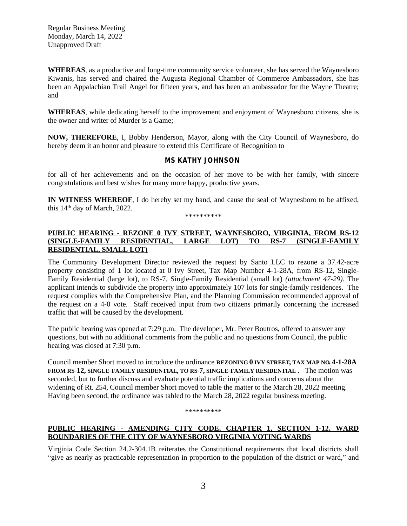**WHEREAS**, as a productive and long-time community service volunteer, she has served the Waynesboro Kiwanis, has served and chaired the Augusta Regional Chamber of Commerce Ambassadors, she has been an Appalachian Trail Angel for fifteen years, and has been an ambassador for the Wayne Theatre; and

**WHEREAS**, while dedicating herself to the improvement and enjoyment of Waynesboro citizens, she is the owner and writer of Murder is a Game;

**NOW, THEREFORE**, I, Bobby Henderson, Mayor, along with the City Council of Waynesboro, do hereby deem it an honor and pleasure to extend this Certificate of Recognition to

### **MS KATHY JOHNSON**

for all of her achievements and on the occasion of her move to be with her family, with sincere congratulations and best wishes for many more happy, productive years.

**IN WITNESS WHEREOF**, I do hereby set my hand, and cause the seal of Waynesboro to be affixed, this 14th day of March, 2022.

\*\*\*\*\*\*\*\*\*\*

# **PUBLIC HEARING - REZONE 0 IVY STREET, WAYNESBORO, VIRGINIA, FROM RS-12 (SINGLE-FAMILY RESIDENTIAL, LARGE LOT) TO RS-7 (SINGLE-FAMILY RESIDENTIAL, SMALL LOT)**

The Community Development Director reviewed the request by Santo LLC to rezone a 37.42-acre property consisting of 1 lot located at 0 Ivy Street, Tax Map Number 4-1-28A, from RS-12, Single-Family Residential (large lot), to RS-7, Single-Family Residential (small lot) *(attachment 47-29)*. The applicant intends to subdivide the property into approximately 107 lots for single-family residences. The request complies with the Comprehensive Plan, and the Planning Commission recommended approval of the request on a 4-0 vote. Staff received input from two citizens primarily concerning the increased traffic that will be caused by the development.

The public hearing was opened at 7:29 p.m. The developer, Mr. Peter Boutros, offered to answer any questions, but with no additional comments from the public and no questions from Council, the public hearing was closed at 7:30 p.m.

Council member Short moved to introduce the ordinance **REZONING 0 IVY STREET, TAX MAP NO. 4-1-28A FROM RS-12, SINGLE-FAMILY RESIDENTIAL, TO RS-7, SINGLE-FAMILY RESIDENTIAL** . The motion was seconded, but to further discuss and evaluate potential traffic implications and concerns about the widening of Rt. 254, Council member Short moved to table the matter to the March 28, 2022 meeting. Having been second, the ordinance was tabled to the March 28, 2022 regular business meeting.

### \*\*\*\*\*\*\*\*\*\*

# **PUBLIC HEARING - AMENDING CITY CODE, CHAPTER 1, SECTION 1-12, WARD BOUNDARIES OF THE CITY OF WAYNESBORO VIRGINIA VOTING WARDS**

Virginia Code Section 24.2-304.1B reiterates the Constitutional requirements that local districts shall "give as nearly as practicable representation in proportion to the population of the district or ward," and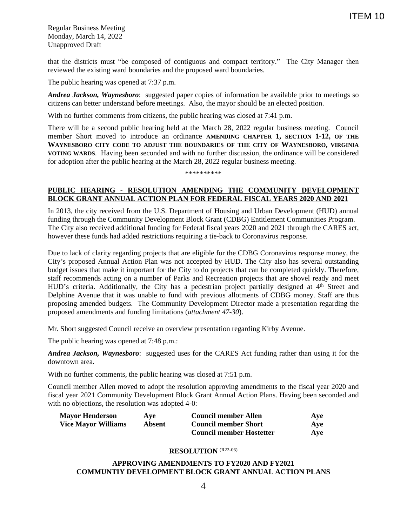Regular Business Meeting Monday, March 14, 2022 Unapproved Draft

that the districts must "be composed of contiguous and compact territory." The City Manager then reviewed the existing ward boundaries and the proposed ward boundaries.

The public hearing was opened at 7:37 p.m.

*Andrea Jackson, Waynesboro*: suggested paper copies of information be available prior to meetings so citizens can better understand before meetings. Also, the mayor should be an elected position.

With no further comments from citizens, the public hearing was closed at 7:41 p.m.

There will be a second public hearing held at the March 28, 2022 regular business meeting. Council member Short moved to introduce an ordinance **AMENDING CHAPTER 1, SECTION 1-12, OF THE WAYNESBORO CITY CODE TO ADJUST THE BOUNDARIES OF THE CITY OF WAYNESBORO, VIRGINIA VOTING WARDS**. Having been seconded and with no further discussion, the ordinance will be considered for adoption after the public hearing at the March 28, 2022 regular business meeting.

\*\*\*\*\*\*\*\*\*\*

## **PUBLIC HEARING - RESOLUTION AMENDING THE COMMUNITY DEVELOPMENT BLOCK GRANT ANNUAL ACTION PLAN FOR FEDERAL FISCAL YEARS 2020 AND 2021**

In 2013, the city received from the U.S. Department of Housing and Urban Development (HUD) annual funding through the Community Development Block Grant (CDBG) Entitlement Communities Program. The City also received additional funding for Federal fiscal years 2020 and 2021 through the CARES act, however these funds had added restrictions requiring a tie-back to Coronavirus response.

Due to lack of clarity regarding projects that are eligible for the CDBG Coronavirus response money, the City's proposed Annual Action Plan was not accepted by HUD. The City also has several outstanding budget issues that make it important for the City to do projects that can be completed quickly. Therefore, staff recommends acting on a number of Parks and Recreation projects that are shovel ready and meet HUD's criteria. Additionally, the City has a pedestrian project partially designed at 4<sup>th</sup> Street and Delphine Avenue that it was unable to fund with previous allotments of CDBG money. Staff are thus proposing amended budgets. The Community Development Director made a presentation regarding the proposed amendments and funding limitations (*attachment 47-30*).

Mr. Short suggested Council receive an overview presentation regarding Kirby Avenue.

The public hearing was opened at 7:48 p.m.:

*Andrea Jackson, Waynesboro*: suggested uses for the CARES Act funding rather than using it for the downtown area.

With no further comments, the public hearing was closed at 7:51 p.m.

Council member Allen moved to adopt the resolution approving amendments to the fiscal year 2020 and fiscal year 2021 Community Development Block Grant Annual Action Plans. Having been seconded and with no objections, the resolution was adopted 4-0:

| <b>Mayor Henderson</b>     | Ave    | <b>Council member Allen</b>     | Ave        |
|----------------------------|--------|---------------------------------|------------|
| <b>Vice Mayor Williams</b> | Absent | <b>Council member Short</b>     | Ave        |
|                            |        | <b>Council member Hostetter</b> | <b>Ave</b> |

### **RESOLUTION** (R22-06)

### **APPROVING AMENDMENTS TO FY2020 AND FY2021 COMMUNTIY DEVELOPMENT BLOCK GRANT ANNUAL ACTION PLANS**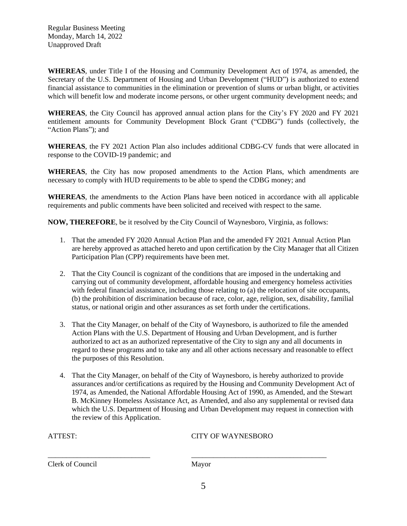**WHEREAS**, under Title I of the Housing and Community Development Act of 1974, as amended, the Secretary of the U.S. Department of Housing and Urban Development ("HUD") is authorized to extend financial assistance to communities in the elimination or prevention of slums or urban blight, or activities which will benefit low and moderate income persons, or other urgent community development needs; and

**WHEREAS**, the City Council has approved annual action plans for the City's FY 2020 and FY 2021 entitlement amounts for Community Development Block Grant ("CDBG") funds (collectively, the "Action Plans"); and

**WHEREAS**, the FY 2021 Action Plan also includes additional CDBG-CV funds that were allocated in response to the COVID-19 pandemic; and

**WHEREAS**, the City has now proposed amendments to the Action Plans, which amendments are necessary to comply with HUD requirements to be able to spend the CDBG money; and

**WHEREAS**, the amendments to the Action Plans have been noticed in accordance with all applicable requirements and public comments have been solicited and received with respect to the same.

**NOW, THEREFORE**, be it resolved by the City Council of Waynesboro, Virginia, as follows:

- 1. That the amended FY 2020 Annual Action Plan and the amended FY 2021 Annual Action Plan are hereby approved as attached hereto and upon certification by the City Manager that all Citizen Participation Plan (CPP) requirements have been met.
- 2. That the City Council is cognizant of the conditions that are imposed in the undertaking and carrying out of community development, affordable housing and emergency homeless activities with federal financial assistance, including those relating to (a) the relocation of site occupants, (b) the prohibition of discrimination because of race, color, age, religion, sex, disability, familial status, or national origin and other assurances as set forth under the certifications.
- 3. That the City Manager, on behalf of the City of Waynesboro, is authorized to file the amended Action Plans with the U.S. Department of Housing and Urban Development, and is further authorized to act as an authorized representative of the City to sign any and all documents in regard to these programs and to take any and all other actions necessary and reasonable to effect the purposes of this Resolution.
- 4. That the City Manager, on behalf of the City of Waynesboro, is hereby authorized to provide assurances and/or certifications as required by the Housing and Community Development Act of 1974, as Amended, the National Affordable Housing Act of 1990, as Amended, and the Stewart B. McKinney Homeless Assistance Act, as Amended, and also any supplemental or revised data which the U.S. Department of Housing and Urban Development may request in connection with the review of this Application.

| н.<br>۰ |  |
|---------|--|
|         |  |

CITY OF WAYNESBORO

Clerk of Council Mayor

\_\_\_\_\_\_\_\_\_\_\_\_\_\_\_\_\_\_\_\_\_\_\_\_\_\_\_\_ \_\_\_\_\_\_\_\_\_\_\_\_\_\_\_\_\_\_\_\_\_\_\_\_\_\_\_\_\_\_\_\_\_\_\_\_\_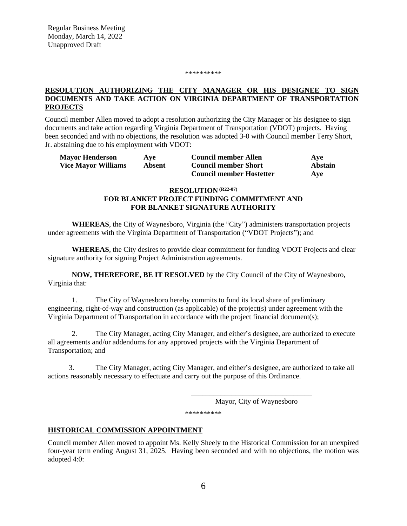#### \*\*\*\*\*\*\*\*\*\*

## **RESOLUTION AUTHORIZING THE CITY MANAGER OR HIS DESIGNEE TO SIGN DOCUMENTS AND TAKE ACTION ON VIRGINIA DEPARTMENT OF TRANSPORTATION PROJECTS**

Council member Allen moved to adopt a resolution authorizing the City Manager or his designee to sign documents and take action regarding Virginia Department of Transportation (VDOT) projects. Having been seconded and with no objections, the resolution was adopted 3-0 with Council member Terry Short, Jr. abstaining due to his employment with VDOT:

| <b>Mayor Henderson</b>     | Ave    | <b>Council member Allen</b>     | Ave            |
|----------------------------|--------|---------------------------------|----------------|
| <b>Vice Mayor Williams</b> | Absent | <b>Council member Short</b>     | <b>Abstain</b> |
|                            |        | <b>Council member Hostetter</b> | Ave            |

# **RESOLUTION (R22-07) FOR BLANKET PROJECT FUNDING COMMITMENT AND FOR BLANKET SIGNATURE AUTHORITY**

**WHEREAS**, the City of Waynesboro, Virginia (the "City") administers transportation projects under agreements with the Virginia Department of Transportation ("VDOT Projects"); and

**WHEREAS**, the City desires to provide clear commitment for funding VDOT Projects and clear signature authority for signing Project Administration agreements.

**NOW, THEREFORE, BE IT RESOLVED** by the City Council of the City of Waynesboro, Virginia that:

1. The City of Waynesboro hereby commits to fund its local share of preliminary engineering, right-of-way and construction (as applicable) of the project(s) under agreement with the Virginia Department of Transportation in accordance with the project financial document(s);

2. The City Manager, acting City Manager, and either's designee, are authorized to execute all agreements and/or addendums for any approved projects with the Virginia Department of Transportation; and

3. The City Manager, acting City Manager, and either's designee, are authorized to take all actions reasonably necessary to effectuate and carry out the purpose of this Ordinance.

Mayor, City of Waynesboro

\_\_\_\_\_\_\_\_\_\_\_\_\_\_\_\_\_\_\_\_\_\_\_\_\_\_\_\_\_\_\_\_\_

\*\*\*\*\*\*\*\*\*\*

### **HISTORICAL COMMISSION APPOINTMENT**

Council member Allen moved to appoint Ms. Kelly Sheely to the Historical Commission for an unexpired four-year term ending August 31, 2025. Having been seconded and with no objections, the motion was adopted 4:0: